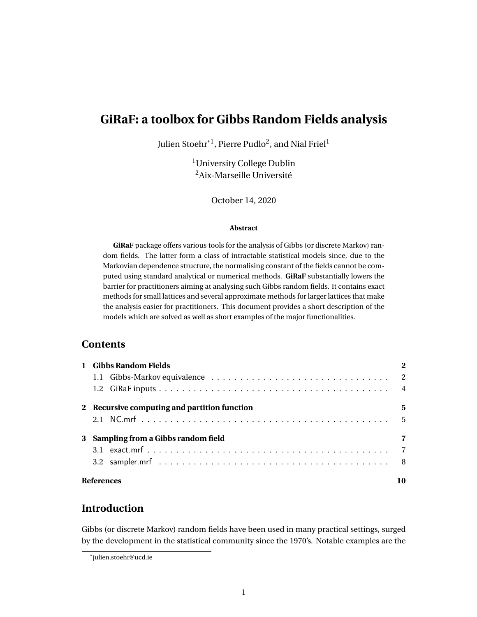# <span id="page-0-0"></span>**GiRaF: a toolbox for Gibbs Random Fields analysis**

Julien Stoehr $^{\ast1}$ , Pierre Pudlo $^2$ , and Nial Friel $^1$ 

<sup>1</sup>University College Dublin <sup>2</sup>Aix-Marseille Université

October 14, 2020

#### **Abstract**

**GiRaF** package offers various tools for the analysis of Gibbs (or discrete Markov) random fields. The latter form a class of intractable statistical models since, due to the Markovian dependence structure, the normalising constant of the fields cannot be computed using standard analytical or numerical methods. **GiRaF** substantially lowers the barrier for practitioners aiming at analysing such Gibbs random fields. It contains exact methods for small lattices and several approximate methods for larger lattices that make the analysis easier for practitioners. This document provides a short description of the models which are solved as well as short examples of the major functionalities.

# **Contents**

| 1 Gibbs Random Fields                        |    |
|----------------------------------------------|----|
|                                              |    |
|                                              |    |
| 2 Recursive computing and partition function | 5  |
|                                              |    |
| 3 Sampling from a Gibbs random field         | 7  |
|                                              |    |
|                                              |    |
| <b>References</b>                            | 10 |

# **Introduction**

Gibbs (or discrete Markov) random fields have been used in many practical settings, surged by the development in the statistical community since the 1970's. Notable examples are the

<sup>\*</sup>julien.stoehr@ucd.ie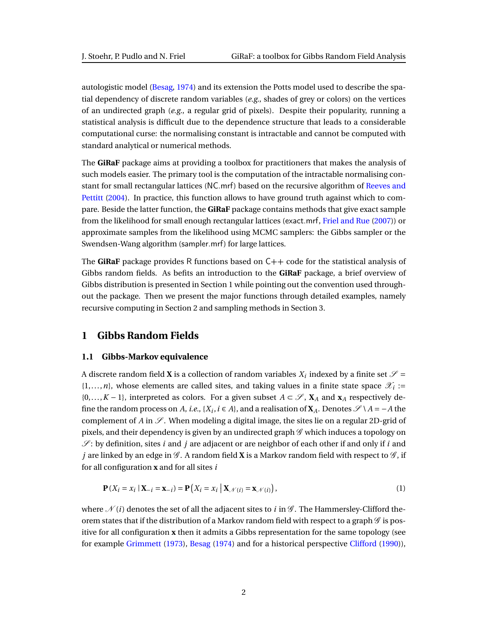autologistic model [\(Besag,](#page-9-1) [1974\)](#page-9-1) and its extension the Potts model used to describe the spatial dependency of discrete random variables (*e.g.*, shades of grey or colors) on the vertices of an undirected graph (*e.g.*, a regular grid of pixels). Despite their popularity, running a statistical analysis is difficult due to the dependence structure that leads to a considerable computational curse: the normalising constant is intractable and cannot be computed with standard analytical or numerical methods.

The **GiRaF** package aims at providing a toolbox for practitioners that makes the analysis of such models easier. The primary tool is the computation of the intractable normalising constant for small rectangular lattices ([NC.mrf](#page-4-1)) based on the recursive algorithm of [Reeves and](#page-10-0) [Pettitt](#page-10-0) [\(2004\)](#page-10-0). In practice, this function allows to have ground truth against which to compare. Beside the latter function, the **GiRaF** package contains methods that give exact sample from the likelihood for small enough rectangular lattices ([exact.mrf](#page-6-1), [Friel and Rue](#page-9-2) [\(2007\)](#page-9-2)) or approximate samples from the likelihood using MCMC samplers: the Gibbs sampler or the Swendsen-Wang algorithm ([sampler.mrf](#page-7-0)) for large lattices.

The **GiRaF** package provides R functions based on  $C++$  code for the statistical analysis of Gibbs random fields. As befits an introduction to the **GiRaF** package, a brief overview of Gibbs distribution is presented in Section [1](#page-1-0) while pointing out the convention used throughout the package. Then we present the major functions through detailed examples, namely recursive computing in Section [2](#page-4-0) and sampling methods in Section [3.](#page-6-0)

# <span id="page-1-1"></span><span id="page-1-0"></span>**1 Gibbs Random Fields**

### **1.1 Gibbs-Markov equivalence**

A discrete random field **X** is a collection of random variables  $X_i$  indexed by a finite set  $\mathscr{S} =$  $\{1,\ldots,n\}$ , whose elements are called sites, and taking values in a finite state space  $\mathscr{X}_i$  :=  $\{0,\ldots,K-1\}$ , interpreted as colors. For a given subset  $A \subset \mathscr{S}$ ,  $X_A$  and  $X_A$  respectively define the random process on *A*, *i.e.*, { $X_i$ , *i*  $\in$  *A*}, and a realisation of  $X_A$ . Denotes  $\mathscr{S} \setminus A = -A$  the complement of *A* in  $\mathscr{S}$ . When modeling a digital image, the sites lie on a regular 2D-grid of pixels, and their dependency is given by an undirected graph  $\mathscr G$  which induces a topology on  $\mathscr{S}$ : by definition, sites *i* and *j* are adjacent or are neighbor of each other if and only if *i* and *j* are linked by an edge in  $\mathscr{G}$ . A random field **X** is a Markov random field with respect to  $\mathscr{G}$ , if for all configuration **x** and for all sites *i*

$$
\mathbf{P}(X_i = x_i \mid \mathbf{X}_{-i} = \mathbf{x}_{-i}) = \mathbf{P}\big(X_i = x_i \mid \mathbf{X}_{\mathcal{N}(i)} = \mathbf{x}_{\mathcal{N}(i)}\big),\tag{1}
$$

where  $\mathcal{N}(i)$  denotes the set of all the adjacent sites to *i* in  $\mathcal{G}$ . The Hammersley-Clifford theorem states that if the distribution of a Markov random field with respect to a graph  $\mathscr G$  is positive for all configuration **x** then it admits a Gibbs representation for the same topology (see for example [Grimmett](#page-10-1) [\(1973\)](#page-10-1), [Besag](#page-9-1) [\(1974\)](#page-9-1) and for a historical perspective [Clifford](#page-9-3) [\(1990\)](#page-9-3)),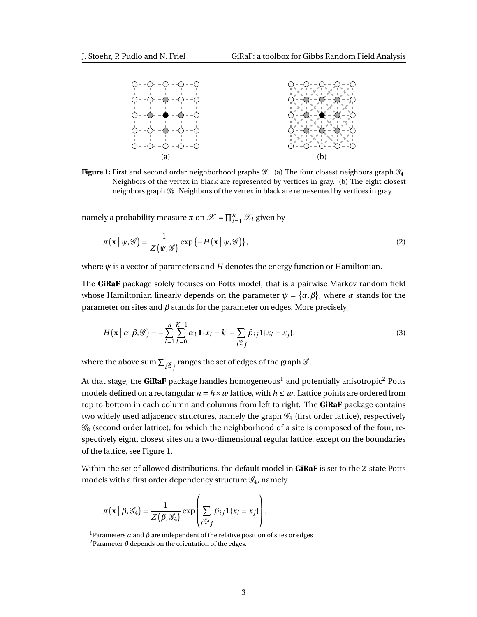<span id="page-2-0"></span>

**Figure 1:** First and second order neighborhood graphs  $\mathscr{G}$ . (a) The four closest neighbors graph  $\mathscr{G}_4$ . Neighbors of the vertex in black are represented by vertices in gray. (b) The eight closest neighbors graph  $\mathcal{G}_8$ . Neighbors of the vertex in black are represented by vertices in gray.

namely a probability measure  $\pi$  on  $\mathscr{X} = \prod_{i=1}^{n} \mathscr{X}_i$  given by

<span id="page-2-2"></span>
$$
\pi(\mathbf{x} \mid \psi, \mathcal{G}) = \frac{1}{Z(\psi, \mathcal{G})} \exp\{-H(\mathbf{x} \mid \psi, \mathcal{G})\},\tag{2}
$$

where  $\psi$  is a vector of parameters and  $H$  denotes the energy function or Hamiltonian.

The **GiRaF** package solely focuses on Potts model, that is a pairwise Markov random field whose Hamiltonian linearly depends on the parameter  $\psi = {\alpha, \beta}$ , where  $\alpha$  stands for the parameter on sites and *β* stands for the parameter on edges. More precisely,

<span id="page-2-1"></span>
$$
H\left(\mathbf{x} \mid \alpha, \beta, \mathcal{G}\right) = -\sum_{i=1}^{n} \sum_{k=0}^{K-1} \alpha_k \mathbf{1}\{x_i = k\} - \sum_{i \stackrel{\mathcal{G}}{=} j} \beta_{ij} \mathbf{1}\{x_i = x_j\},\tag{3}
$$

where the above sum  $\sum_{i \stackrel{\mathscr{G}}{>} i}$  ranges the set of edges of the graph  $\mathscr{G}.$ 

At that stage, the  $\bm{{\sf GiRaF}}$  package handles homogeneous $^1$  $^1$  and potentially anisotropic $^2$  $^2$  Potts models defined on a rectangular  $n = h \times w$  lattice, with  $h \leq w$ . Lattice points are ordered from top to bottom in each column and columns from left to right. The **GiRaF** package contains two widely used adjacency structures, namely the graph  $\mathcal{G}_4$  (first order lattice), respectively  $\mathscr{G}_8$  (second order lattice), for which the neighborhood of a site is composed of the four, respectively eight, closest sites on a two-dimensional regular lattice, except on the boundaries of the lattice, see Figure [1.](#page-2-0)

Within the set of allowed distributions, the default model in **GiRaF** is set to the 2-state Potts models with a first order dependency structure  $\mathscr{G}_4$ , namely

$$
\pi(\mathbf{x} \mid \beta, \mathscr{G}_4) = \frac{1}{Z(\beta, \mathscr{G}_4)} \exp \left( \sum_{i \stackrel{\mathscr{G}_4}{\rightarrow} j} \beta_{ij} \mathbf{1} \{x_i = x_j\} \right).
$$

<sup>1</sup>Parameters  $\alpha$  and  $\beta$  are independent of the relative position of sites or edges

<sup>&</sup>lt;sup>2</sup>Parameter  $\beta$  depends on the orientation of the edges.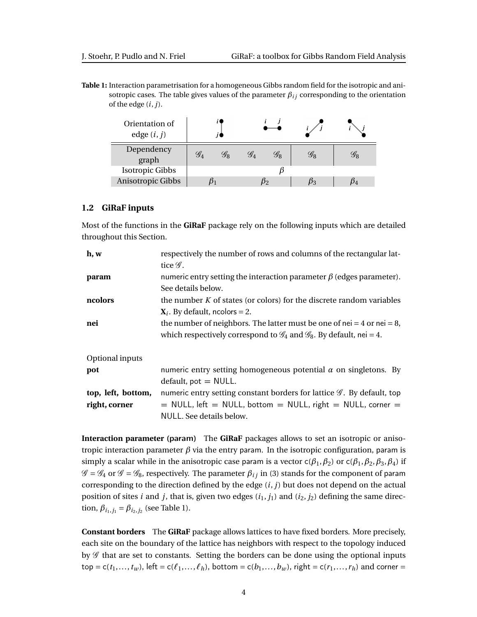<span id="page-3-3"></span>**Table 1:** Interaction parametrisation for a homogeneous Gibbs random field for the isotropic and anisotropic cases. The table gives values of the parameter  $\beta_{ij}$  corresponding to the orientation of the edge (*i*, *j*).

| Orientation of<br>edge $(i, j)$ |                       |                 |                 |                        |                                                |                                                |
|---------------------------------|-----------------------|-----------------|-----------------|------------------------|------------------------------------------------|------------------------------------------------|
| Dependency<br>graph             | $\mathscr{G}_\Lambda$ | $\mathscr{G}_8$ | $\mathscr{G}_4$ | $\mathscr{G}_{\Omega}$ | $\mathscr{G}_{\scriptscriptstyle{\mathsf{R}}}$ | $\mathscr{G}_{\scriptscriptstyle{\mathsf{R}}}$ |
| <b>Isotropic Gibbs</b>          |                       |                 |                 |                        |                                                |                                                |
| Anisotropic Gibbs               |                       |                 |                 |                        |                                                |                                                |

### <span id="page-3-0"></span>**1.2 GiRaF inputs**

Most of the functions in the **GiRaF** package rely on the following inputs which are detailed throughout this Section.

| h, w               | respectively the number of rows and columns of the rectangular lat-                         |
|--------------------|---------------------------------------------------------------------------------------------|
|                    | tice $\mathscr G$ .                                                                         |
| param              | numeric entry setting the interaction parameter $\beta$ (edges parameter).                  |
|                    | See details below.                                                                          |
| ncolors            | the number $K$ of states (or colors) for the discrete random variables                      |
|                    | $X_i$ . By default, ncolors = 2.                                                            |
| nei                | the number of neighbors. The latter must be one of nei = 4 or nei = 8,                      |
|                    | which respectively correspond to $\mathcal{G}_4$ and $\mathcal{G}_8$ . By default, nei = 4. |
| Optional inputs    |                                                                                             |
| pot                | numeric entry setting homogeneous potential $\alpha$ on singletons. By                      |
|                    | $default, pot = NULL.$                                                                      |
| top, left, bottom, | numeric entry setting constant borders for lattice $\mathscr G$ . By default, top           |
| right, corner      | $=$ NULL, left $=$ NULL, bottom $=$ NULL, right $=$ NULL, corner $=$                        |
|                    | NULL. See details below.                                                                    |

<span id="page-3-1"></span>**Interaction parameter (**param**)** The **GiRaF** packages allows to set an isotropic or anisotropic interaction parameter  $β$  via the entry param. In the isotropic configuration, param is simply a scalar while in the anisotropic case param is a vector  $c(\beta_1, \beta_2)$  or  $c(\beta_1, \beta_2, \beta_3, \beta_4)$  if  $\mathscr{G} = \mathscr{G}_4$  or  $\mathscr{G} = \mathscr{G}_8$ , respectively. The parameter  $\beta_{ij}$  in [\(3\)](#page-2-1) stands for the component of param corresponding to the direction defined by the edge (*i*, *j*) but does not depend on the actual position of sites *i* and *j*, that is, given two edges  $(i_1, j_1)$  and  $(i_2, j_2)$  defining the same direction,  $\beta_{i_1,j_1} = \beta_{i_2,j_2}$  (see Table [1\)](#page-3-3).

<span id="page-3-2"></span>**Constant borders** The **GiRaF** package allows lattices to have fixed borders. More precisely, each site on the boundary of the lattice has neighbors with respect to the topology induced by  $\mathscr G$  that are set to constants. Setting the borders can be done using the optional inputs  $top = c(t_1,...,t_w)$ , left =  $c(\ell_1,...,\ell_h)$ , bottom =  $c(b_1,...,b_w)$ , right =  $c(r_1,...,r_h)$  and corner =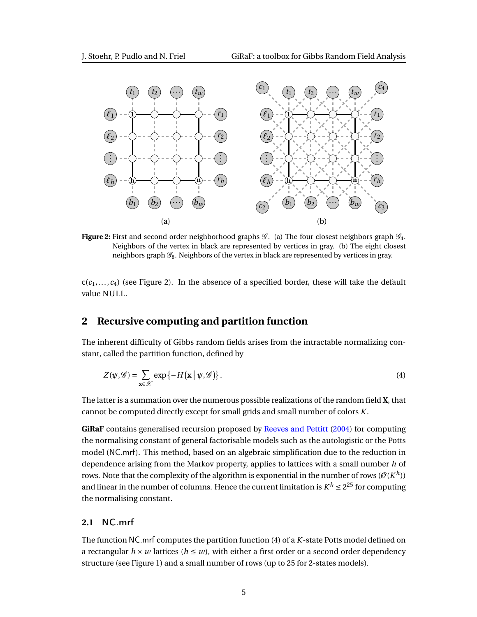<span id="page-4-2"></span>

**Figure 2:** First and second order neighborhood graphs  $\mathscr{G}$ . (a) The four closest neighbors graph  $\mathscr{G}_4$ . Neighbors of the vertex in black are represented by vertices in gray. (b) The eight closest neighbors graph  $\mathscr{G}_8$ . Neighbors of the vertex in black are represented by vertices in gray.

 $c(c_1,...,c_4)$  (see Figure [2\)](#page-4-2). In the absence of a specified border, these will take the default value NULL.

# <span id="page-4-0"></span>**2 Recursive computing and partition function**

The inherent difficulty of Gibbs random fields arises from the intractable normalizing constant, called the partition function, defined by

<span id="page-4-3"></span>
$$
Z(\psi,\mathscr{G}) = \sum_{\mathbf{x}\in\mathscr{X}} \exp\left\{-H\big(\mathbf{x} \mid \psi,\mathscr{G}\big)\right\}.
$$
 (4)

The latter is a summation over the numerous possible realizations of the random field **X**, that cannot be computed directly except for small grids and small number of colors *K*.

**GiRaF** contains generalised recursion proposed by [Reeves and Pettitt](#page-10-0) [\(2004\)](#page-10-0) for computing the normalising constant of general factorisable models such as the autologistic or the Potts model ([NC.mrf](#page-4-1)). This method, based on an algebraic simplification due to the reduction in dependence arising from the Markov property, applies to lattices with a small number *h* of rows. Note that the complexity of the algorithm is exponential in the number of rows ( $\mathcal{O}(K^h)$ ) and linear in the number of columns. Hence the current limitation is  $K^h \leq 2^{25}$  for computing the normalising constant.

### <span id="page-4-1"></span>**2.1** NC.mrf

The function NC.mrf computes the partition function [\(4\)](#page-4-3) of a *K*-state Potts model defined on a rectangular  $h \times w$  lattices ( $h \leq w$ ), with either a first order or a second order dependency structure (see Figure [1\)](#page-2-0) and a small number of rows (up to 25 for 2-states models).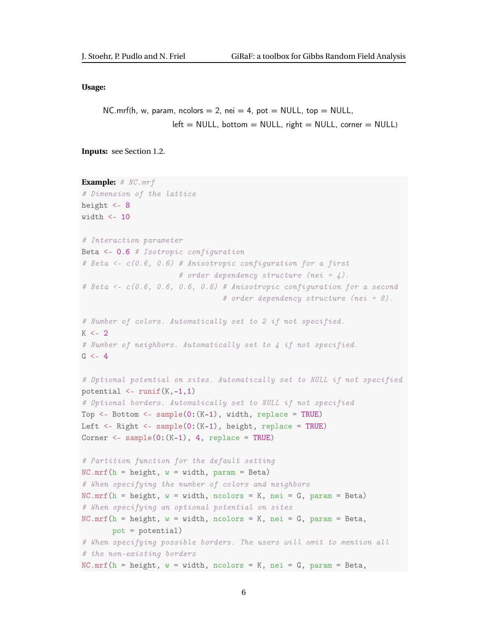#### **Usage:**

```
NC.mrf(h, w, param, ncolors = 2, nei = 4, pot = NULL, top = NULL,
                 left = NULL, bottom = NULL, right = NULL, corner = NULL)
```
**Inputs:** see Section [1.2.](#page-3-0)

```
Example: # NC.mrf
# Dimension of the lattice
height <-8width \leq -10# Interaction parameter
Beta <- 0.6 # Isotropic configuration
# Beta <- c(0.6, 0.6) # Anisotropic configuration for a first
                      # order dependency structure (nei = \angle).
# Beta <- c(0.6, 0.6, 0.6, 0.6) # Anisotropic configuration for a second
                                # order dependency structure (nei = 8).
# Number of colors. Automatically set to 2 if not specified.
K < -2# Number of neighbors. Automatically set to 4 if not specified.
G < -4# Optional potential on sites. Automatically set to NULL if not specified
potential \leq runif(K,-1,1)
# Optional borders. Automatically set to NULL if not specified
Top \leq- Bottom \leq- sample(0:(K-1), width, replace = TRUE)
Left <- Right <- sample(0:(K-1), height, replace = TRUE)
Corner \leq sample(0:(K-1), 4, replace = TRUE)
# Partition function for the default setting
NC.mrf(h = height, w = width, param = Beta)# When specifying the number of colors and neighbors
NC.mrf(h = height, w = width, ncolors = K, nei = G, param = Beta)# When specifying an optional potential on sites
NC.mrf(h = height, w = width, ncolors = K, nei = G, param = Beta,pot = potential)
# When specifying possible borders. The users will omit to mention all
# the non-existing borders
NC.mrf(h = height, w = width, ncolors = K, nei = G, param = Beta,
```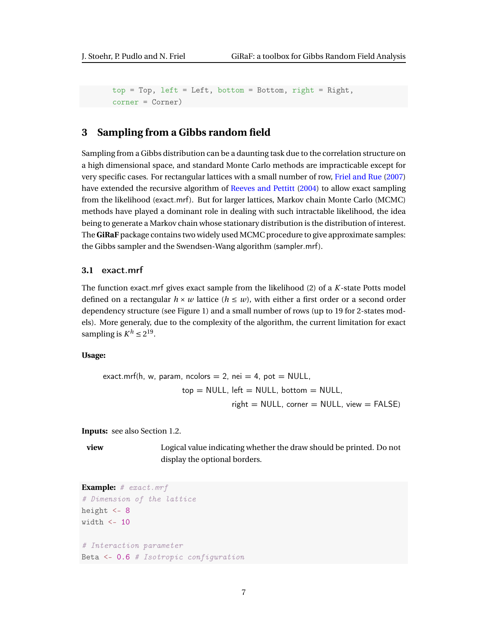```
top = Top, left = Left, bottom = Bottom, right = Right,
corner = Corner)
```
# <span id="page-6-0"></span>**3 Sampling from a Gibbs random field**

Sampling from a Gibbs distribution can be a daunting task due to the correlation structure on a high dimensional space, and standard Monte Carlo methods are impracticable except for very specific cases. For rectangular lattices with a small number of row, [Friel and Rue](#page-9-2) [\(2007\)](#page-9-2) have extended the recursive algorithm of [Reeves and Pettitt](#page-10-0) [\(2004\)](#page-10-0) to allow exact sampling from the likelihood ([exact.mrf](#page-6-1)). But for larger lattices, Markov chain Monte Carlo (MCMC) methods have played a dominant role in dealing with such intractable likelihood, the idea being to generate a Markov chain whose stationary distribution is the distribution of interest. The **GiRaF** package contains two widely used MCMC procedure to give approximate samples: the Gibbs sampler and the Swendsen-Wang algorithm ([sampler.mrf](#page-7-0)).

### <span id="page-6-1"></span>**3.1** exact.mrf

The function exact.mrf gives exact sample from the likelihood [\(2\)](#page-2-2) of a *K*-state Potts model defined on a rectangular  $h \times w$  lattice ( $h \leq w$ ), with either a first order or a second order dependency structure (see Figure [1\)](#page-2-0) and a small number of rows (up to 19 for 2-states models). More generaly, due to the complexity of the algorithm, the current limitation for exact sampling is  $K^h \leq 2^{19}$ .

### **Usage:**

$$
\begin{aligned} \text{exact.mrf(h, w, param, ncolors} &= 2, \text{ nei} = 4, \text{ pot} = \text{NULL}, \\ \text{top} &= \text{NULL}, \text{ left} = \text{NULL}, \text{ bottom} = \text{NULL}, \\ \text{right} &= \text{NULL}, \text{ corner} = \text{NULL}, \text{ view} = \text{FALSE} \end{aligned}
$$

**Inputs:** see also Section [1.2.](#page-3-0)

**view** Logical value indicating whether the draw should be printed. Do not display the optional borders.

```
Example: # exact.mrf
# Dimension of the lattice
height <-8width \leq -10# Interaction parameter
Beta <- 0.6 # Isotropic configuration
```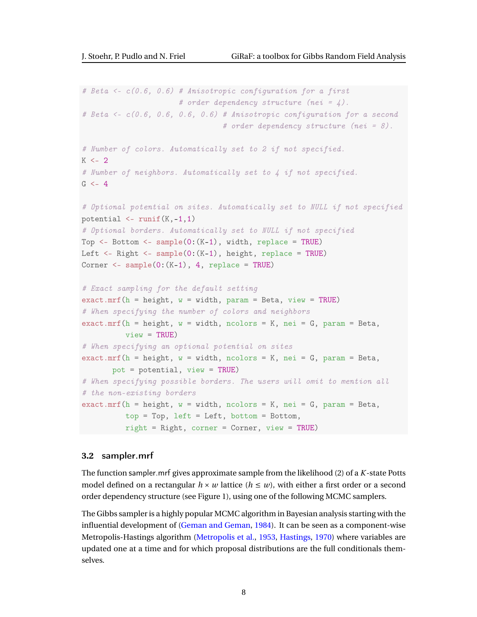```
# Beta <- c(0.6, 0.6) # Anisotropic configuration for a first
                      # order dependency structure (nei = \angle).
# Beta <- c(0.6, 0.6, 0.6, 0.6) # Anisotropic configuration for a second
                                 # order dependency structure (nei = 8).
# Number of colors. Automatically set to 2 if not specified.
K < -2# Number of neighbors. Automatically set to 4 if not specified.
G < -4# Optional potential on sites. Automatically set to NULL if not specified
potential \leq runif(K,-1,1)
# Optional borders. Automatically set to NULL if not specified
Top \leq- Bottom \leq- sample(0:(K-1)), width, replace = TRUE)
Left \leq- Right \leq- sample(0:(K-1), height, replace = TRUE)
Corner \leq sample(0:(K-1), 4, replace = TRUE)
# Exact sampling for the default setting
exact.mrf(h = height, w = width, param = Beta, view = TRUE)
# When specifying the number of colors and neighbors
exact.mrf(h = height, w = width, ncolors = K, nei = G, param = Beta,
          view = TRUE)
# When specifying an optional potential on sites
exact.mrf(h = height, w = width, ncolors = K, nei = G, param = Beta,
       pot = potential, view = TRUE)
# When specifying possible borders. The users will omit to mention all
# the non-existing borders
exact.mrf(h = height, w = width, ncolors = K, nei = G, param = Beta,
          top = Top, left = Left, bottom = Bottom,
          right = Right, corner = Corner, view = TRUE)
```
### <span id="page-7-0"></span>**3.2** sampler.mrf

The function sampler.mrf gives approximate sample from the likelihood [\(2\)](#page-2-2) of a *K*-state Potts model defined on a rectangular  $h \times w$  lattice  $(h \leq w)$ , with either a first order or a second order dependency structure (see Figure [1\)](#page-2-0), using one of the following MCMC samplers.

The Gibbs sampler is a highly popular MCMC algorithm in Bayesian analysis starting with the influential development of [\(Geman and Geman,](#page-10-2) [1984\)](#page-10-2). It can be seen as a component-wise Metropolis-Hastings algorithm [\(Metropolis et al.,](#page-10-3) [1953,](#page-10-3) [Hastings,](#page-10-4) [1970\)](#page-10-4) where variables are updated one at a time and for which proposal distributions are the full conditionals themselves.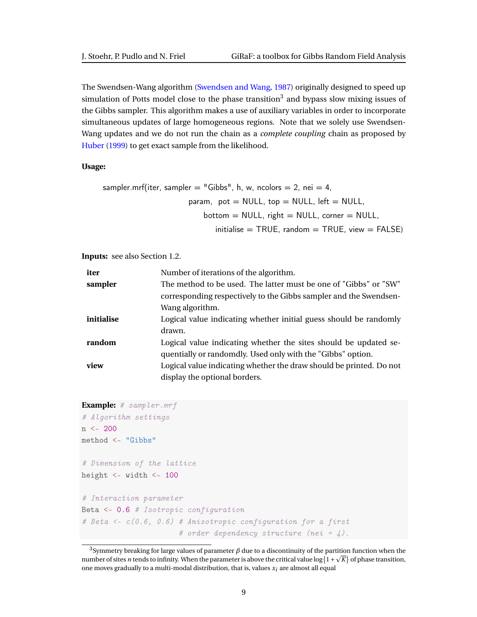The Swendsen-Wang algorithm [\(Swendsen and Wang,](#page-10-5) [1987\)](#page-10-5) originally designed to speed up simulation of Potts model close to the phase transition<sup>[3](#page-0-0)</sup> and bypass slow mixing issues of the Gibbs sampler. This algorithm makes a use of auxiliary variables in order to incorporate simultaneous updates of large homogeneous regions. Note that we solely use Swendsen-Wang updates and we do not run the chain as a *complete coupling* chain as proposed by [Huber](#page-10-6) [\(1999\)](#page-10-6) to get exact sample from the likelihood.

#### **Usage:**

```
sampler.mrf(iter, sampler = "Gibbs", h, w, ncolors = 2, nei = 4,
                      param, pot = NULL, top = NULL, left = NULL,
                          bottom = NULL, right = NULL, corner = NULL,
                             initialise = TRUE, random = TRUE, view = FALSE)
```
**Inputs:** see also Section [1.2.](#page-3-0)

| iter       | Number of iterations of the algorithm.                              |
|------------|---------------------------------------------------------------------|
| sampler    | The method to be used. The latter must be one of "Gibbs" or "SW"    |
|            | corresponding respectively to the Gibbs sampler and the Swendsen-   |
|            | Wang algorithm.                                                     |
| initialise | Logical value indicating whether initial guess should be randomly   |
|            | drawn.                                                              |
| random     | Logical value indicating whether the sites should be updated se-    |
|            | quentially or randomdly. Used only with the "Gibbs" option.         |
| view       | Logical value indicating whether the draw should be printed. Do not |
|            | display the optional borders.                                       |

```
Example: # sampler.mrf
# Algorithm settings
n <- 200
method <- "Gibbs"
# Dimension of the lattice
height <- width <- 100
# Interaction parameter
Beta <- 0.6 # Isotropic configuration
# Beta <- c(0.6, 0.6) # Anisotropic configuration for a first
                      # order dependency structure (nei = 4).
```
 $^3$ Symmetry breaking for large values of parameter  $\beta$  due to a discontinuity of the partition function when the number of sites *n* tends to infinity. When the parameter is above the critical value  $\log\{1+\sqrt{K}\}$  of phase transition, one moves gradually to a multi-modal distribution, that is, values *xi* are almost all equal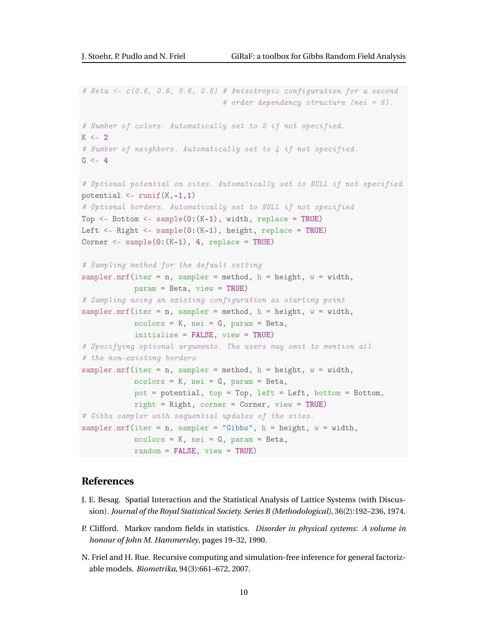```
# Beta <- c(0.6, 0.6, 0.6, 0.6) # Anisotropic configuration for a second
                                 # order dependency structure (nei = 8).
# Number of colors. Automatically set to 2 if not specified.
K < -2# Number of neighbors. Automatically set to 4 if not specified.
G < -4# Optional potential on sites. Automatically set to NULL if not specified
potential \leq runif(K,-1,1)
# Optional borders. Automatically set to NULL if not specified
Top \leq- Bottom \leq- sample(0:(K-1), width, replace = TRUE)
Left <- Right <- sample(0:(K-1), height, replace = TRUE)
Corner \leq sample(0: (K-1), 4, replace = TRUE)
# Sampling method for the default setting
sampler.mrf(iter = n, sampler = method, h = height, w = width,
            param = Beta, view = TRUE)
# Sampling using an existing configuration as starting point
sampler.mrf(iter = n, sampler = method, h = height, w = width,
            ncolors = K, nei = G, param = Beta,
            initialise = FALSE, view = TRUE)
# Specifying optional arguments. The users may omit to mention all
# the non-existing borders
sampler.mrf(iter = n, sampler = method, h = height, w = width,
            ncolors = K, nei = G, param = Beta,
            pot = potential, top = Top, left = Left, bottom = Bottom,
            right = Right, corner = Corner, view = TRUE)
# Gibbs sampler with sequential updates of the sites.
sampler.mrf(iter = n, sampler = "Gibbs", h = height, w = width,
            ncolors = K, nei = G, param = Beta,
            random = FALSE, view = TRUE)
```
# <span id="page-9-0"></span>**References**

- <span id="page-9-1"></span>J. E. Besag. Spatial Interaction and the Statistical Analysis of Lattice Systems (with Discussion). *Journal of the Royal Statistical Society. Series B (Methodological)*, 36(2):192–236, 1974.
- <span id="page-9-3"></span>P. Clifford. Markov random fields in statistics. *Disorder in physical systems: A volume in honour of John M. Hammersley*, pages 19–32, 1990.
- <span id="page-9-2"></span>N. Friel and H. Rue. Recursive computing and simulation-free inference for general factorizable models. *Biometrika*, 94(3):661–672, 2007.